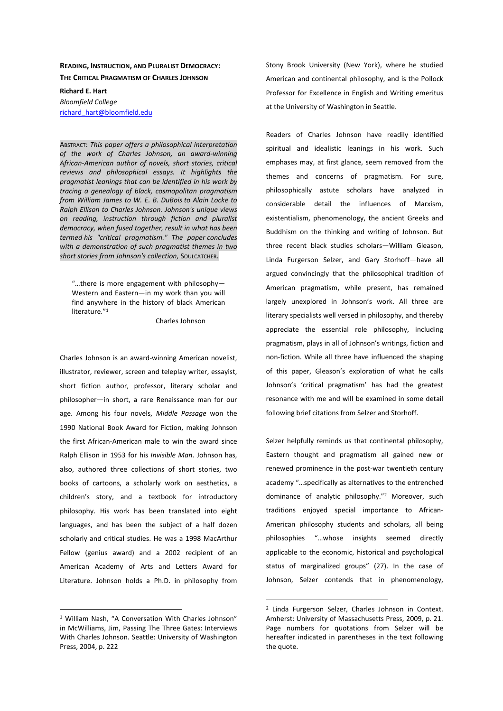## **READING, INSTRUCTION, AND PLURALIST DEMOCRACY: THE CRITICAL PRAGMATISM OF CHARLES JOHNSON**

**Richard E. Hart**  *Bloomfield College*  richard\_hart@bloomfield.edu

ABSTRACT: *This paper offers a philosophical interpretation of the work of Charles Johnson, an award-winning African-American author of novels, short stories, critical reviews and philosophical essays. It highlights the pragmatist leanings that can be identified in his work by tracing a genealogy of black, cosmopolitan pragmatism from William James to W. E. B. DuBois to Alain Locke to Ralph Ellison to Charles Johnson. Johnson's unique views on reading, instruction through fiction and pluralist democracy, when fused together, result in what has been termed his "critical pragmatism." The paper concludes with a demonstration of such pragmatist themes in two short stories from Johnson's collection,* SOULCATCHER.

"…there is more engagement with philosophy— Western and Eastern—in my work than you will find anywhere in the history of black American literature."<sup>1</sup>

Charles Johnson

Charles Johnson is an award-winning American novelist, illustrator, reviewer, screen and teleplay writer, essayist, short fiction author, professor, literary scholar and philosopher—in short, a rare Renaissance man for our age. Among his four novels, *Middle Passage* won the 1990 National Book Award for Fiction, making Johnson the first African-American male to win the award since Ralph Ellison in 1953 for his *Invisible Man*. Johnson has, also, authored three collections of short stories, two books of cartoons, a scholarly work on aesthetics, a children's story, and a textbook for introductory philosophy. His work has been translated into eight languages, and has been the subject of a half dozen scholarly and critical studies. He was a 1998 MacArthur Fellow (genius award) and a 2002 recipient of an American Academy of Arts and Letters Award for Literature. Johnson holds a Ph.D. in philosophy from

 $\overline{a}$ 

Stony Brook University (New York), where he studied American and continental philosophy, and is the Pollock Professor for Excellence in English and Writing emeritus at the University of Washington in Seattle.

Readers of Charles Johnson have readily identified spiritual and idealistic leanings in his work. Such emphases may, at first glance, seem removed from the themes and concerns of pragmatism. For sure, philosophically astute scholars have analyzed in considerable detail the influences of Marxism, existentialism, phenomenology, the ancient Greeks and Buddhism on the thinking and writing of Johnson. But three recent black studies scholars—William Gleason, Linda Furgerson Selzer, and Gary Storhoff—have all argued convincingly that the philosophical tradition of American pragmatism, while present, has remained largely unexplored in Johnson's work. All three are literary specialists well versed in philosophy, and thereby appreciate the essential role philosophy, including pragmatism, plays in all of Johnson's writings, fiction and non-fiction. While all three have influenced the shaping of this paper, Gleason's exploration of what he calls Johnson's 'critical pragmatism' has had the greatest resonance with me and will be examined in some detail following brief citations from Selzer and Storhoff.

Selzer helpfully reminds us that continental philosophy, Eastern thought and pragmatism all gained new or renewed prominence in the post-war twentieth century academy "…specifically as alternatives to the entrenched dominance of analytic philosophy."<sup>2</sup> Moreover, such traditions enjoyed special importance to African-American philosophy students and scholars, all being philosophies "…whose insights seemed directly applicable to the economic, historical and psychological status of marginalized groups" (27). In the case of Johnson, Selzer contends that in phenomenology,

<sup>&</sup>lt;sup>1</sup> William Nash, "A Conversation With Charles Johnson" in McWilliams, Jim, Passing The Three Gates: Interviews With Charles Johnson. Seattle: University of Washington Press, 2004, p. 222

<sup>&</sup>lt;sup>2</sup> Linda Furgerson Selzer, Charles Johnson in Context. Amherst: University of Massachusetts Press, 2009, p. 21. Page numbers for quotations from Selzer will be hereafter indicated in parentheses in the text following the quote.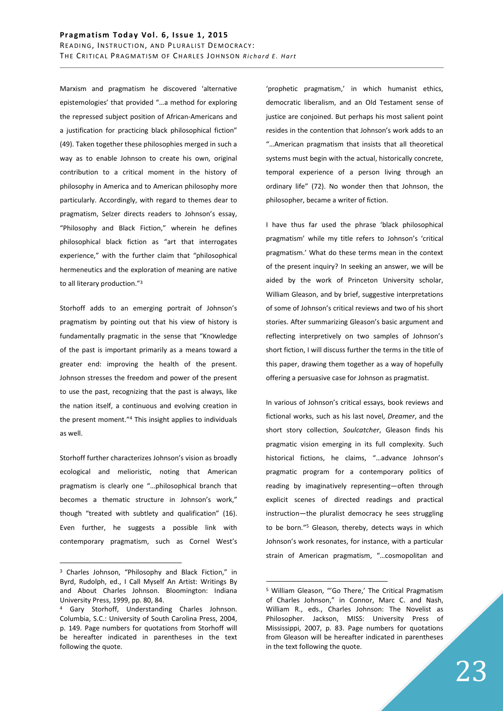Marxism and pragmatism he discovered 'alternative epistemologies' that provided "…a method for exploring the repressed subject position of African-Americans and a justification for practicing black philosophical fiction" (49). Taken together these philosophies merged in such a way as to enable Johnson to create his own, original contribution to a critical moment in the history of philosophy in America and to American philosophy more particularly. Accordingly, with regard to themes dear to pragmatism, Selzer directs readers to Johnson's essay, "Philosophy and Black Fiction," wherein he defines philosophical black fiction as "art that interrogates experience," with the further claim that "philosophical hermeneutics and the exploration of meaning are native to all literary production."<sup>3</sup>

Storhoff adds to an emerging portrait of Johnson's pragmatism by pointing out that his view of history is fundamentally pragmatic in the sense that "Knowledge of the past is important primarily as a means toward a greater end: improving the health of the present. Johnson stresses the freedom and power of the present to use the past, recognizing that the past is always, like the nation itself, a continuous and evolving creation in the present moment."<sup>4</sup> This insight applies to individuals as well.

Storhoff further characterizes Johnson's vision as broadly ecological and melioristic, noting that American pragmatism is clearly one "…philosophical branch that becomes a thematic structure in Johnson's work," though "treated with subtlety and qualification" (16). Even further, he suggests a possible link with contemporary pragmatism, such as Cornel West's

 $\overline{a}$ 

'prophetic pragmatism,' in which humanist ethics, democratic liberalism, and an Old Testament sense of justice are conjoined. But perhaps his most salient point resides in the contention that Johnson's work adds to an "…American pragmatism that insists that all theoretical systems must begin with the actual, historically concrete, temporal experience of a person living through an ordinary life" (72). No wonder then that Johnson, the philosopher, became a writer of fiction.

I have thus far used the phrase 'black philosophical pragmatism' while my title refers to Johnson's 'critical pragmatism.' What do these terms mean in the context of the present inquiry? In seeking an answer, we will be aided by the work of Princeton University scholar, William Gleason, and by brief, suggestive interpretations of some of Johnson's critical reviews and two of his short stories. After summarizing Gleason's basic argument and reflecting interpretively on two samples of Johnson's short fiction, I will discuss further the terms in the title of this paper, drawing them together as a way of hopefully offering a persuasive case for Johnson as pragmatist.

In various of Johnson's critical essays, book reviews and fictional works, such as his last novel, *Dreamer*, and the short story collection, *Soulcatcher*, Gleason finds his pragmatic vision emerging in its full complexity. Such historical fictions, he claims, "…advance Johnson's pragmatic program for a contemporary politics of reading by imaginatively representing—often through explicit scenes of directed readings and practical instruction—the pluralist democracy he sees struggling to be born."<sup>5</sup> Gleason, thereby, detects ways in which Johnson's work resonates, for instance, with a particular strain of American pragmatism, "…cosmopolitan and

<sup>&</sup>lt;sup>3</sup> Charles Johnson, "Philosophy and Black Fiction," in Byrd, Rudolph, ed., I Call Myself An Artist: Writings By and About Charles Johnson. Bloomington: Indiana University Press, 1999, pp. 80, 84.

<sup>4</sup> Gary Storhoff, Understanding Charles Johnson. Columbia, S.C.: University of South Carolina Press, 2004, p. 149. Page numbers for quotations from Storhoff will be hereafter indicated in parentheses in the text following the quote.

<sup>&</sup>lt;sup>5</sup> William Gleason, "'Go There,' The Critical Pragmatism of Charles Johnson," in Connor, Marc C. and Nash, William R., eds., Charles Johnson: The Novelist as Philosopher. Jackson, MISS: University Press of Mississippi, 2007, p. 83. Page numbers for quotations from Gleason will be hereafter indicated in parentheses in the text following the quote.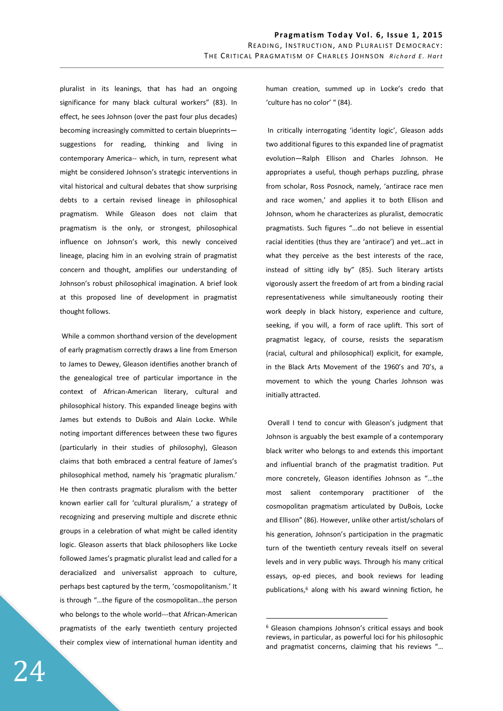pluralist in its leanings, that has had an ongoing significance for many black cultural workers" (83). In effect, he sees Johnson (over the past four plus decades) becoming increasingly committed to certain blueprints suggestions for reading, thinking and living in contemporary America-- which, in turn, represent what might be considered Johnson's strategic interventions in vital historical and cultural debates that show surprising debts to a certain revised lineage in philosophical pragmatism. While Gleason does not claim that pragmatism is the only, or strongest, philosophical influence on Johnson's work, this newly conceived lineage, placing him in an evolving strain of pragmatist concern and thought, amplifies our understanding of Johnson's robust philosophical imagination. A brief look at this proposed line of development in pragmatist thought follows.

 While a common shorthand version of the development of early pragmatism correctly draws a line from Emerson to James to Dewey, Gleason identifies another branch of the genealogical tree of particular importance in the context of African-American literary, cultural and philosophical history. This expanded lineage begins with James but extends to DuBois and Alain Locke. While noting important differences between these two figures (particularly in their studies of philosophy), Gleason claims that both embraced a central feature of James's philosophical method, namely his 'pragmatic pluralism.' He then contrasts pragmatic pluralism with the better known earlier call for 'cultural pluralism,' a strategy of recognizing and preserving multiple and discrete ethnic groups in a celebration of what might be called identity logic. Gleason asserts that black philosophers like Locke followed James's pragmatic pluralist lead and called for a deracialized and universalist approach to culture, perhaps best captured by the term, 'cosmopolitanism.' It is through "…the figure of the cosmopolitan…the person who belongs to the whole world---that African-American pragmatists of the early twentieth century projected their complex view of international human identity and

human creation, summed up in Locke's credo that 'culture has no color' " (84).

 In critically interrogating 'identity logic', Gleason adds two additional figures to this expanded line of pragmatist evolution—Ralph Ellison and Charles Johnson. He appropriates a useful, though perhaps puzzling, phrase from scholar, Ross Posnock, namely, 'antirace race men and race women,' and applies it to both Ellison and Johnson, whom he characterizes as pluralist, democratic pragmatists. Such figures "…do not believe in essential racial identities (thus they are 'antirace') and yet…act in what they perceive as the best interests of the race, instead of sitting idly by" (85). Such literary artists vigorously assert the freedom of art from a binding racial representativeness while simultaneously rooting their work deeply in black history, experience and culture, seeking, if you will, a form of race uplift. This sort of pragmatist legacy, of course, resists the separatism (racial, cultural and philosophical) explicit, for example, in the Black Arts Movement of the 1960's and 70's, a movement to which the young Charles Johnson was initially attracted.

 Overall I tend to concur with Gleason's judgment that Johnson is arguably the best example of a contemporary black writer who belongs to and extends this important and influential branch of the pragmatist tradition. Put more concretely, Gleason identifies Johnson as "…the most salient contemporary practitioner of the cosmopolitan pragmatism articulated by DuBois, Locke and Ellison" (86). However, unlike other artist/scholars of his generation, Johnson's participation in the pragmatic turn of the twentieth century reveals itself on several levels and in very public ways. Through his many critical essays, op-ed pieces, and book reviews for leading publications,<sup>6</sup> along with his award winning fiction, he

<sup>&</sup>lt;sup>6</sup> Gleason champions Johnson's critical essays and book reviews, in particular, as powerful loci for his philosophic and pragmatist concerns, claiming that his reviews "…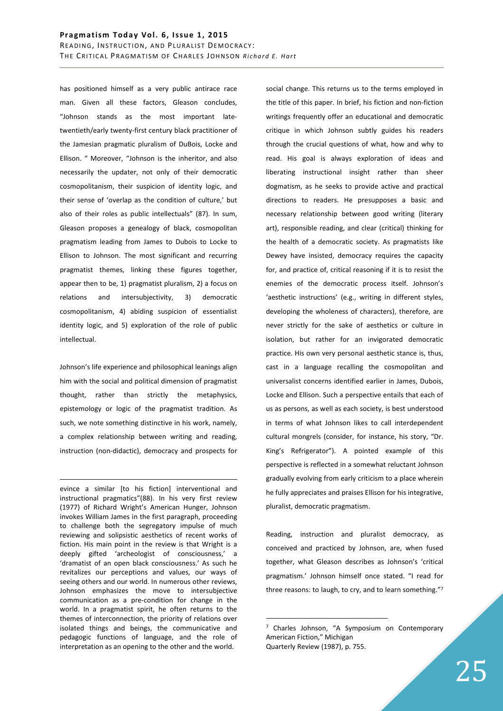has positioned himself as a very public antirace race man. Given all these factors, Gleason concludes, "Johnson stands as the most important latetwentieth/early twenty-first century black practitioner of the Jamesian pragmatic pluralism of DuBois, Locke and Ellison. " Moreover, "Johnson is the inheritor, and also necessarily the updater, not only of their democratic cosmopolitanism, their suspicion of identity logic, and their sense of 'overlap as the condition of culture,' but also of their roles as public intellectuals" (87). In sum, Gleason proposes a genealogy of black, cosmopolitan pragmatism leading from James to Dubois to Locke to Ellison to Johnson. The most significant and recurring pragmatist themes, linking these figures together, appear then to be, 1) pragmatist pluralism, 2) a focus on relations and intersubjectivity, 3) democratic cosmopolitanism, 4) abiding suspicion of essentialist identity logic, and 5) exploration of the role of public intellectual.

Johnson's life experience and philosophical leanings align him with the social and political dimension of pragmatist thought, rather than strictly the metaphysics, epistemology or logic of the pragmatist tradition. As such, we note something distinctive in his work, namely, a complex relationship between writing and reading, instruction (non-didactic), democracy and prospects for

<u>.</u>

evince a similar [to his fiction] interventional and instructional pragmatics"(88). In his very first review (1977) of Richard Wright's American Hunger, Johnson invokes William James in the first paragraph, proceeding to challenge both the segregatory impulse of much reviewing and solipsistic aesthetics of recent works of fiction. His main point in the review is that Wright is a deeply gifted 'archeologist of consciousness,' a 'dramatist of an open black consciousness.' As such he revitalizes our perceptions and values, our ways of seeing others and our world. In numerous other reviews, Johnson emphasizes the move to intersubjective communication as a pre-condition for change in the world. In a pragmatist spirit, he often returns to the themes of interconnection, the priority of relations over isolated things and beings, the communicative and pedagogic functions of language, and the role of interpretation as an opening to the other and the world.

social change. This returns us to the terms employed in the title of this paper. In brief, his fiction and non-fiction writings frequently offer an educational and democratic critique in which Johnson subtly guides his readers through the crucial questions of what, how and why to read. His goal is always exploration of ideas and liberating instructional insight rather than sheer dogmatism, as he seeks to provide active and practical directions to readers. He presupposes a basic and necessary relationship between good writing (literary art), responsible reading, and clear (critical) thinking for the health of a democratic society. As pragmatists like Dewey have insisted, democracy requires the capacity for, and practice of, critical reasoning if it is to resist the enemies of the democratic process itself. Johnson's 'aesthetic instructions' (e.g., writing in different styles, developing the wholeness of characters), therefore, are never strictly for the sake of aesthetics or culture in isolation, but rather for an invigorated democratic practice. His own very personal aesthetic stance is, thus, cast in a language recalling the cosmopolitan and universalist concerns identified earlier in James, Dubois, Locke and Ellison. Such a perspective entails that each of us as persons, as well as each society, is best understood in terms of what Johnson likes to call interdependent cultural mongrels (consider, for instance, his story, "Dr. King's Refrigerator"). A pointed example of this perspective is reflected in a somewhat reluctant Johnson gradually evolving from early criticism to a place wherein he fully appreciates and praises Ellison for his integrative, pluralist, democratic pragmatism.

Reading, instruction and pluralist democracy, as conceived and practiced by Johnson, are, when fused together, what Gleason describes as Johnson's 'critical pragmatism.' Johnson himself once stated. "I read for three reasons: to laugh, to cry, and to learn something."<sup>7</sup>

<sup>&</sup>lt;sup>7</sup> Charles Johnson, "A Symposium on Contemporary American Fiction," Michigan Quarterly Review (1987), p. 755.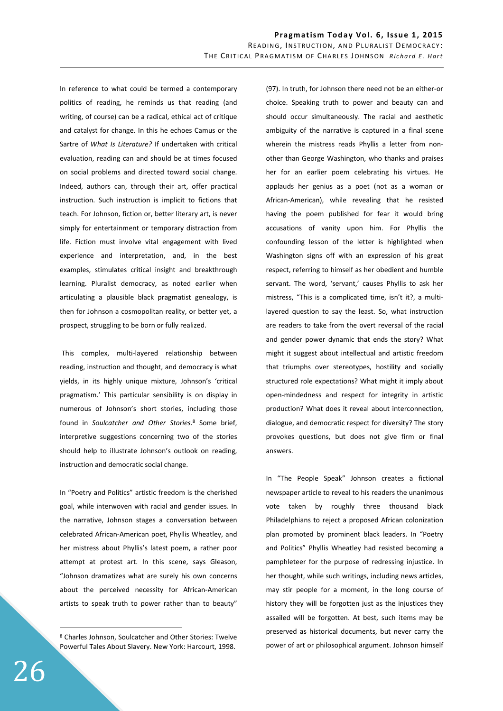In reference to what could be termed a contemporary politics of reading, he reminds us that reading (and writing, of course) can be a radical, ethical act of critique and catalyst for change. In this he echoes Camus or the Sartre of *What Is Literature?* If undertaken with critical evaluation, reading can and should be at times focused on social problems and directed toward social change. Indeed, authors can, through their art, offer practical instruction. Such instruction is implicit to fictions that teach. For Johnson, fiction or, better literary art, is never simply for entertainment or temporary distraction from life. Fiction must involve vital engagement with lived experience and interpretation, and, in the best examples, stimulates critical insight and breakthrough learning. Pluralist democracy, as noted earlier when articulating a plausible black pragmatist genealogy, is then for Johnson a cosmopolitan reality, or better yet, a prospect, struggling to be born or fully realized.

 This complex, multi-layered relationship between reading, instruction and thought, and democracy is what yields, in its highly unique mixture, Johnson's 'critical pragmatism.' This particular sensibility is on display in numerous of Johnson's short stories, including those found in Soulcatcher and Other Stories.<sup>8</sup> Some brief, interpretive suggestions concerning two of the stories should help to illustrate Johnson's outlook on reading, instruction and democratic social change.

In "Poetry and Politics" artistic freedom is the cherished goal, while interwoven with racial and gender issues. In the narrative, Johnson stages a conversation between celebrated African-American poet, Phyllis Wheatley, and her mistress about Phyllis's latest poem, a rather poor attempt at protest art. In this scene, says Gleason, "Johnson dramatizes what are surely his own concerns about the perceived necessity for African-American artists to speak truth to power rather than to beauty"

(97). In truth, for Johnson there need not be an either-or choice. Speaking truth to power and beauty can and should occur simultaneously. The racial and aesthetic ambiguity of the narrative is captured in a final scene wherein the mistress reads Phyllis a letter from nonother than George Washington, who thanks and praises her for an earlier poem celebrating his virtues. He applauds her genius as a poet (not as a woman or African-American), while revealing that he resisted having the poem published for fear it would bring accusations of vanity upon him. For Phyllis the confounding lesson of the letter is highlighted when Washington signs off with an expression of his great respect, referring to himself as her obedient and humble servant. The word, 'servant,' causes Phyllis to ask her mistress, "This is a complicated time, isn't it?, a multilayered question to say the least. So, what instruction are readers to take from the overt reversal of the racial and gender power dynamic that ends the story? What might it suggest about intellectual and artistic freedom that triumphs over stereotypes, hostility and socially structured role expectations? What might it imply about open-mindedness and respect for integrity in artistic production? What does it reveal about interconnection, dialogue, and democratic respect for diversity? The story provokes questions, but does not give firm or final answers.

In "The People Speak" Johnson creates a fictional newspaper article to reveal to his readers the unanimous vote taken by roughly three thousand black Philadelphians to reject a proposed African colonization plan promoted by prominent black leaders. In "Poetry and Politics" Phyllis Wheatley had resisted becoming a pamphleteer for the purpose of redressing injustice. In her thought, while such writings, including news articles, may stir people for a moment, in the long course of history they will be forgotten just as the injustices they assailed will be forgotten. At best, such items may be preserved as historical documents, but never carry the power of art or philosophical argument. Johnson himself

<sup>8</sup> Charles Johnson, Soulcatcher and Other Stories: Twelve Powerful Tales About Slavery. New York: Harcourt, 1998.